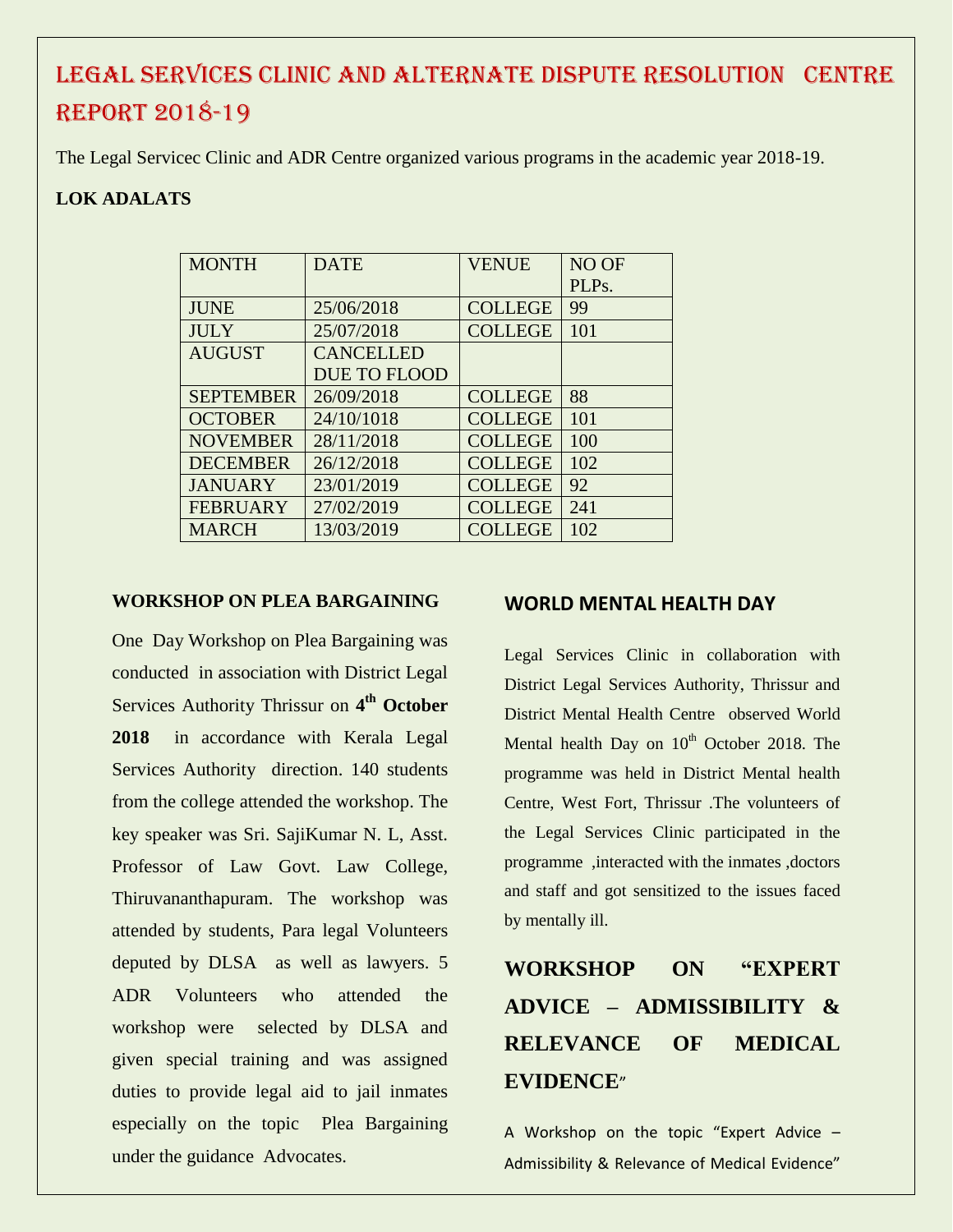### LEGAL SERVICES CLINIC AND ALTERNATE DISPUTE RESOLUTION CENTRE REPORT 2018-19

The Legal Servicec Clinic and ADR Centre organized various programs in the academic year 2018-19.

### **LOK ADALATS**

| <b>MONTH</b>     | <b>DATE</b>         | <b>VENUE</b>   | NO OF |
|------------------|---------------------|----------------|-------|
|                  |                     |                | PLPs. |
| <b>JUNE</b>      | 25/06/2018          | <b>COLLEGE</b> | 99    |
| <b>JULY</b>      | 25/07/2018          | <b>COLLEGE</b> | 101   |
| <b>AUGUST</b>    | <b>CANCELLED</b>    |                |       |
|                  | <b>DUE TO FLOOD</b> |                |       |
| <b>SEPTEMBER</b> | 26/09/2018          | <b>COLLEGE</b> | 88    |
| <b>OCTOBER</b>   | 24/10/1018          | <b>COLLEGE</b> | 101   |
| <b>NOVEMBER</b>  | 28/11/2018          | <b>COLLEGE</b> | 100   |
| <b>DECEMBER</b>  | 26/12/2018          | <b>COLLEGE</b> | 102   |
| <b>JANUARY</b>   | 23/01/2019          | <b>COLLEGE</b> | 92    |
| <b>FEBRUARY</b>  | 27/02/2019          | <b>COLLEGE</b> | 241   |
| <b>MARCH</b>     | 13/03/2019          | <b>COLLEGE</b> | 102   |

#### **WORKSHOP ON PLEA BARGAINING**

One Day Workshop on Plea Bargaining was conducted in association with District Legal Services Authority Thrissur on 4<sup>th</sup> October **2018** in accordance with Kerala Legal Services Authority direction. 140 students from the college attended the workshop. The key speaker was Sri. SajiKumar N. L, Asst. Professor of Law Govt. Law College, Thiruvananthapuram. The workshop was attended by students, Para legal Volunteers deputed by DLSA as well as lawyers. 5 ADR Volunteers who attended the workshop were selected by DLSA and given special training and was assigned duties to provide legal aid to jail inmates especially on the topic Plea Bargaining under the guidance Advocates.

#### **WORLD MENTAL HEALTH DAY**

Legal Services Clinic in collaboration with District Legal Services Authority, Thrissur and District Mental Health Centre observed World Mental health Day on  $10<sup>th</sup>$  October 2018. The programme was held in District Mental health Centre, West Fort, Thrissur .The volunteers of the Legal Services Clinic participated in the programme ,interacted with the inmates ,doctors and staff and got sensitized to the issues faced by mentally ill.

# **WORKSHOP ON "EXPERT ADVICE – ADMISSIBILITY & RELEVANCE OF MEDICAL EVIDENCE**"

A Workshop on the topic "Expert Advice – Admissibility & Relevance of Medical Evidence"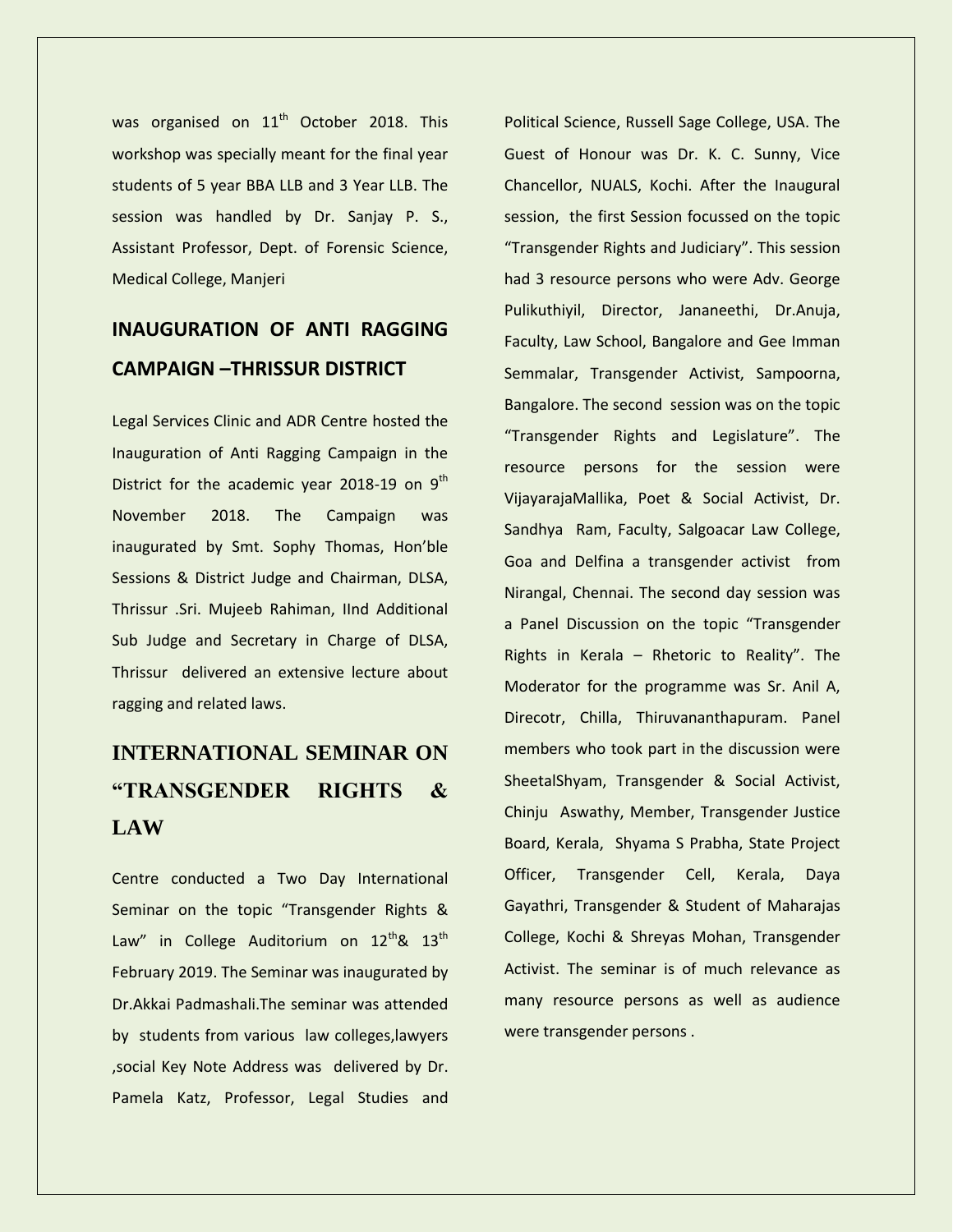was organised on 11<sup>th</sup> October 2018. This workshop was specially meant for the final year students of 5 year BBA LLB and 3 Year LLB. The session was handled by Dr. Sanjay P. S., Assistant Professor, Dept. of Forensic Science, Medical College, Manjeri

### **INAUGURATION OF ANTI RAGGING CAMPAIGN –THRISSUR DISTRICT**

Legal Services Clinic and ADR Centre hosted the Inauguration of Anti Ragging Campaign in the District for the academic year 2018-19 on  $9<sup>th</sup>$ November 2018. The Campaign was inaugurated by Smt. Sophy Thomas, Hon'ble Sessions & District Judge and Chairman, DLSA, Thrissur .Sri. Mujeeb Rahiman, IInd Additional Sub Judge and Secretary in Charge of DLSA, Thrissur delivered an extensive lecture about ragging and related laws.

## **INTERNATIONAL SEMINAR ON "TRANSGENDER RIGHTS & LAW**

Centre conducted a Two Day International Seminar on the topic "Transgender Rights & Law" in College Auditorium on  $12^{th}$ &  $13^{th}$ February 2019. The Seminar was inaugurated by Dr.Akkai Padmashali.The seminar was attended by students from various law colleges,lawyers ,social Key Note Address was delivered by Dr. Pamela Katz, Professor, Legal Studies and

Political Science, Russell Sage College, USA. The Guest of Honour was Dr. K. C. Sunny, Vice Chancellor, NUALS, Kochi. After the Inaugural session, the first Session focussed on the topic "Transgender Rights and Judiciary". This session had 3 resource persons who were Adv. George Pulikuthiyil, Director, Jananeethi, Dr.Anuja, Faculty, Law School, Bangalore and Gee Imman Semmalar, Transgender Activist, Sampoorna, Bangalore. The second session was on the topic "Transgender Rights and Legislature". The resource persons for the session were VijayarajaMallika, Poet & Social Activist, Dr. Sandhya Ram, Faculty, Salgoacar Law College, Goa and Delfina a transgender activist from Nirangal, Chennai. The second day session was a Panel Discussion on the topic "Transgender Rights in Kerala – Rhetoric to Reality". The Moderator for the programme was Sr. Anil A, Direcotr, Chilla, Thiruvananthapuram. Panel members who took part in the discussion were SheetalShyam, Transgender & Social Activist, Chinju Aswathy, Member, Transgender Justice Board, Kerala, Shyama S Prabha, State Project Officer, Transgender Cell, Kerala, Daya Gayathri, Transgender & Student of Maharajas College, Kochi & Shreyas Mohan, Transgender Activist. The seminar is of much relevance as many resource persons as well as audience were transgender persons .